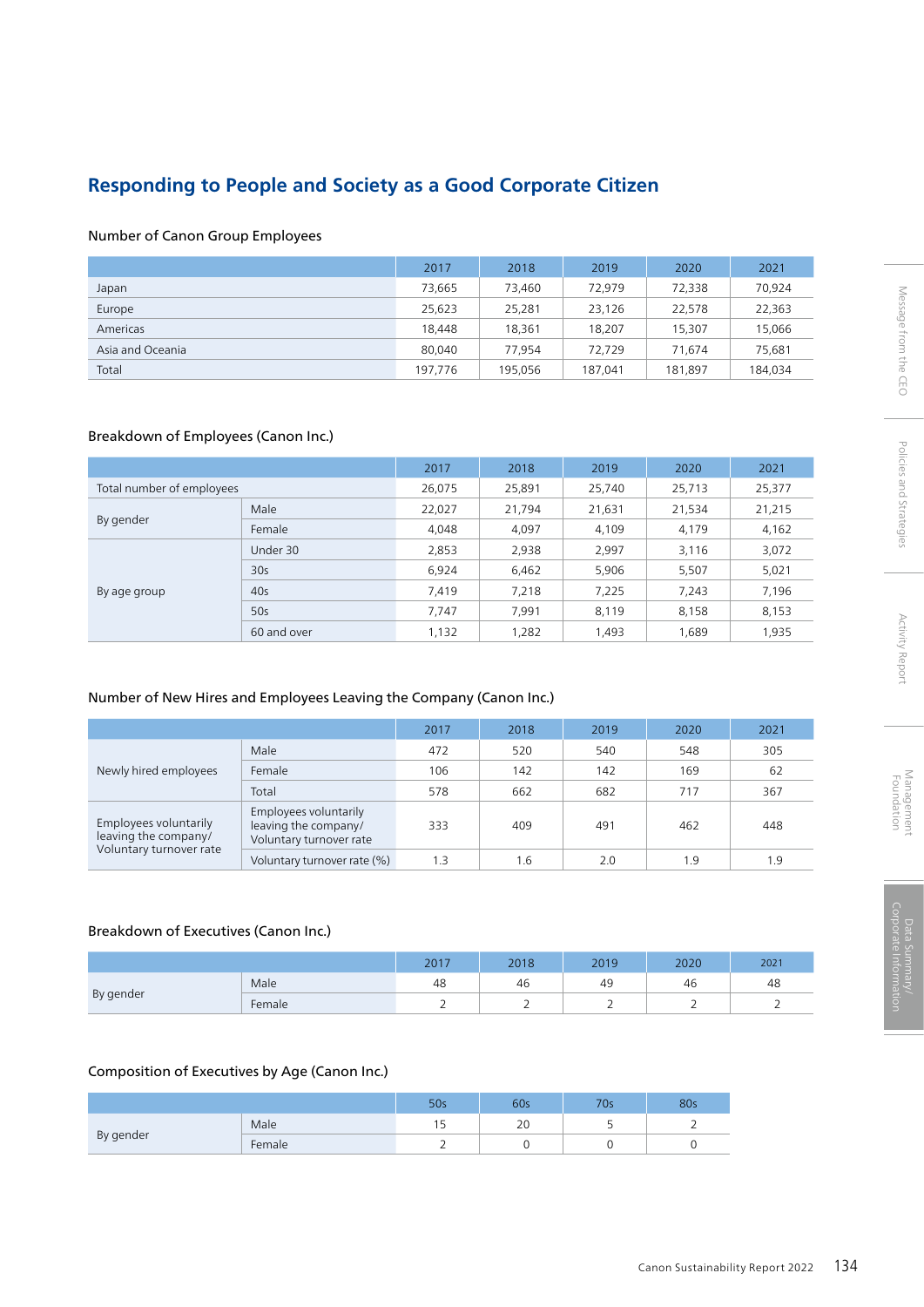# **Responding to People and Society as a Good Corporate Citizen**

### Number of Canon Group Employees

|                  | 2017    | 2018    | 2019    | 2020    | 2021    |
|------------------|---------|---------|---------|---------|---------|
| Japan            | 73,665  | 73.460  | 72.979  | 72,338  | 70,924  |
| Europe           | 25.623  | 25,281  | 23.126  | 22.578  | 22,363  |
| Americas         | 18,448  | 18.361  | 18,207  | 15,307  | 15,066  |
| Asia and Oceania | 80.040  | 77.954  | 72.729  | 71.674  | 75,681  |
| Total            | 197,776 | 195,056 | 187,041 | 181,897 | 184,034 |

### Breakdown of Employees (Canon Inc.)

|                           |             | 2017   | 2018   | 2019   | 2020   | 2021   |
|---------------------------|-------------|--------|--------|--------|--------|--------|
| Total number of employees |             | 26,075 | 25,891 | 25,740 | 25,713 | 25,377 |
| By gender                 | Male        | 22,027 | 21,794 | 21,631 | 21,534 | 21,215 |
|                           | Female      | 4,048  | 4,097  | 4,109  | 4,179  | 4,162  |
|                           | Under 30    | 2,853  | 2,938  | 2,997  | 3,116  | 3,072  |
|                           | 30s         | 6,924  | 6,462  | 5,906  | 5,507  | 5,021  |
| By age group              | 40s         | 7,419  | 7,218  | 7,225  | 7,243  | 7,196  |
|                           | 50s         | 7.747  | 7.991  | 8,119  | 8,158  | 8,153  |
|                           | 60 and over | 1,132  | 1,282  | 1,493  | 1,689  | 1,935  |

### Number of New Hires and Employees Leaving the Company (Canon Inc.)

|                                               |                                                                          | 2017 | 2018 | 2019 | 2020 | 2021 |
|-----------------------------------------------|--------------------------------------------------------------------------|------|------|------|------|------|
|                                               | Male                                                                     | 472  | 520  | 540  | 548  | 305  |
| Newly hired employees                         | Female                                                                   | 106  | 142  | 142  | 169  | 62   |
|                                               | Total                                                                    | 578  | 662  | 682  | 717  | 367  |
| Employees voluntarily<br>leaving the company/ | Employees voluntarily<br>leaving the company/<br>Voluntary turnover rate | 333  | 409  | 491  | 462  | 448  |
| Voluntary turnover rate                       | Voluntary turnover rate (%)                                              | 1.3  | 1.6  | 2.0  | 1.9  | 1.9  |

#### Breakdown of Executives (Canon Inc.)

|           |                    | 2017     | 2018 | 2019 | 2020 | 2021 |
|-----------|--------------------|----------|------|------|------|------|
|           | Male               | 48       | 46   | 49   | 46   | 48   |
| By gender | Female<br><u>_</u> | <u>_</u> |      |      |      |      |

#### Composition of Executives by Age (Canon Inc.)

|           |        | 50s | 60s | 70s | 80s |
|-----------|--------|-----|-----|-----|-----|
|           | Male   | . . | 20  |     |     |
| By gender | Female |     |     |     |     |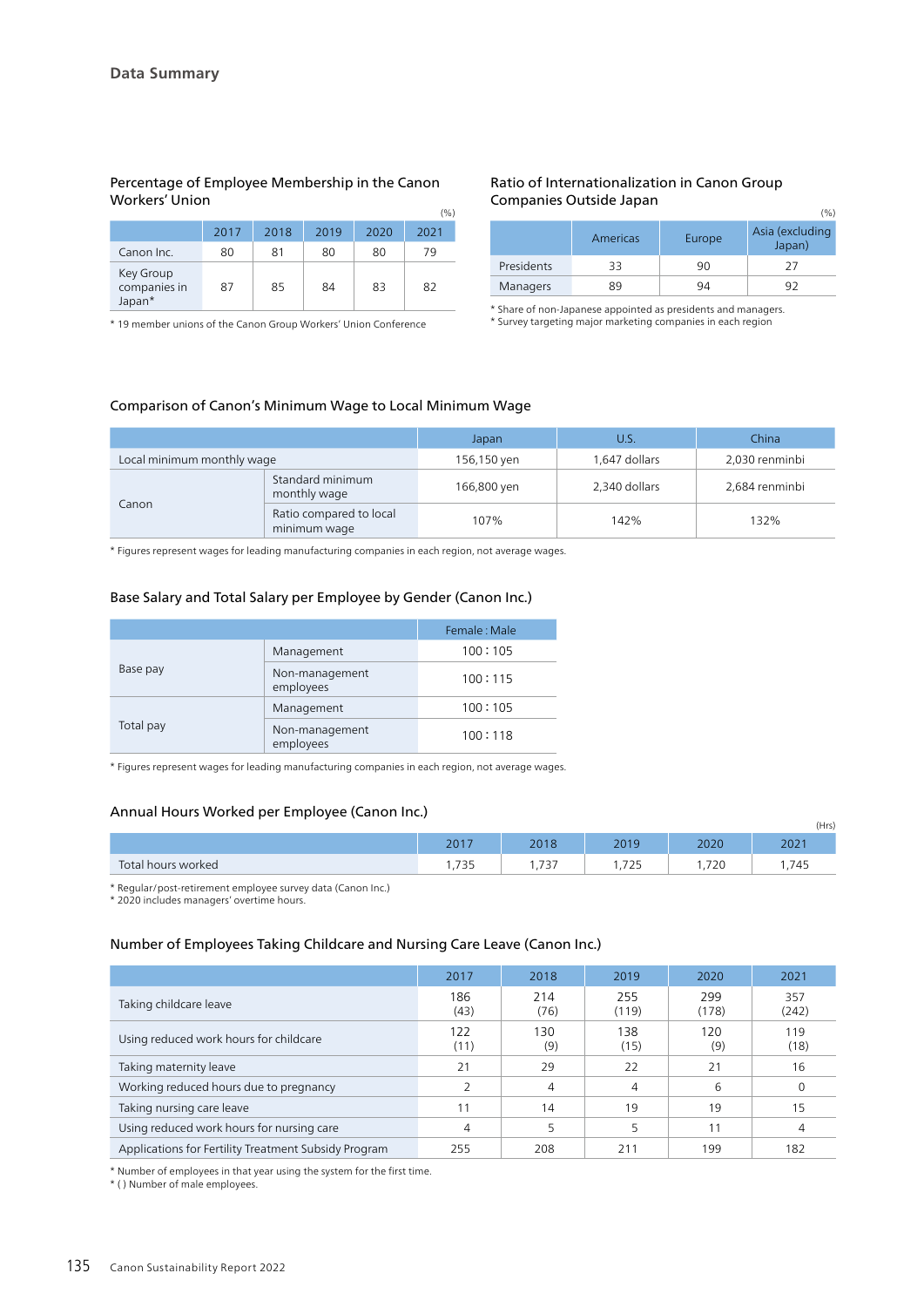#### Percentage of Employee Membership in the Canon Workers' Union  $(0/2)$

|                                     |      |      |      |      | $\cdot$ $\cdot$ $\cdot$ $\cdot$ |
|-------------------------------------|------|------|------|------|---------------------------------|
|                                     | 2017 | 2018 | 2019 | 2020 | 2021                            |
| Canon Inc.                          | 80   | 81   | 80   | 80   | 79                              |
| Key Group<br>companies in<br>Japan* | 87   | 85   | 84   | 83   | 82                              |

\* 19 member unions of the Canon Group Workers' Union Conference

#### Ratio of Internationalization in Canon Group Companies Outside Japan

|            |          |        | $\cdot$ $\cdot$ $\cdot$ $\cdot$ |
|------------|----------|--------|---------------------------------|
|            | Americas | Europe | Asia (excluding<br>Japan)       |
| Presidents | 33       | 90     |                                 |
| Managers   | 89       | 94     | Q.                              |

 $(0/2)$ 

\* Share of non-Japanese appointed as presidents and managers. \* Survey targeting major marketing companies in each region

#### Comparison of Canon's Minimum Wage to Local Minimum Wage

|                            |                                         | Japan                        | U.S.          | China          |  |
|----------------------------|-----------------------------------------|------------------------------|---------------|----------------|--|
| Local minimum monthly wage |                                         | 1,647 dollars<br>156,150 yen |               | 2,030 renminbi |  |
|                            | Standard minimum<br>monthly wage        | 166,800 yen                  | 2,340 dollars | 2,684 renminbi |  |
| Canon                      | Ratio compared to local<br>minimum wage | 107%                         | 142%          | 132%           |  |

\* Figures represent wages for leading manufacturing companies in each region, not average wages.

#### Base Salary and Total Salary per Employee by Gender (Canon Inc.)

|           |                             | Female: Male |
|-----------|-----------------------------|--------------|
| Base pay  | Management                  | 100:105      |
|           | Non-management<br>employees | 100:115      |
|           | Management                  | 100:105      |
| Total pay | Non-management<br>employees | 100:118      |

\* Figures represent wages for leading manufacturing companies in each region, not average wages.

### Annual Hours Worked per Employee (Canon Inc.)

|                    |                 |               |           |      | (Hrs)       |
|--------------------|-----------------|---------------|-----------|------|-------------|
|                    | $2017$<br>2 U L | 2010<br>2010  | 2019      | 2020 | 202         |
| Total hours worked | フつに             | フつフ<br>۱ כ ו, | 725<br>رے | ,720 | 7.4F<br>745 |

\* Regular/post-retirement employee survey data (Canon Inc.)

\* 2020 includes managers' overtime hours.

#### Number of Employees Taking Childcare and Nursing Care Leave (Canon Inc.)

|                                                      | 2017        | 2018        | 2019         | 2020         | 2021         |
|------------------------------------------------------|-------------|-------------|--------------|--------------|--------------|
| Taking childcare leave                               | 186<br>(43) | 214<br>(76) | 255<br>(119) | 299<br>(178) | 357<br>(242) |
| Using reduced work hours for childcare               | 122<br>(11) | 130<br>(9)  | 138<br>(15)  | 120<br>(9)   | 119<br>(18)  |
| Taking maternity leave                               | 21          | 29          | 22           | 21           | 16           |
| Working reduced hours due to pregnancy               |             | 4           | 4            | 6            |              |
| Taking nursing care leave                            | 11          | 14          | 19           | 19           | 15           |
| Using reduced work hours for nursing care            | 4           |             |              | 11           |              |
| Applications for Fertility Treatment Subsidy Program | 255         | 208         | 211          | 199          | 182          |

\* Number of employees in that year using the system for the first time.

\* ( ) Number of male employees.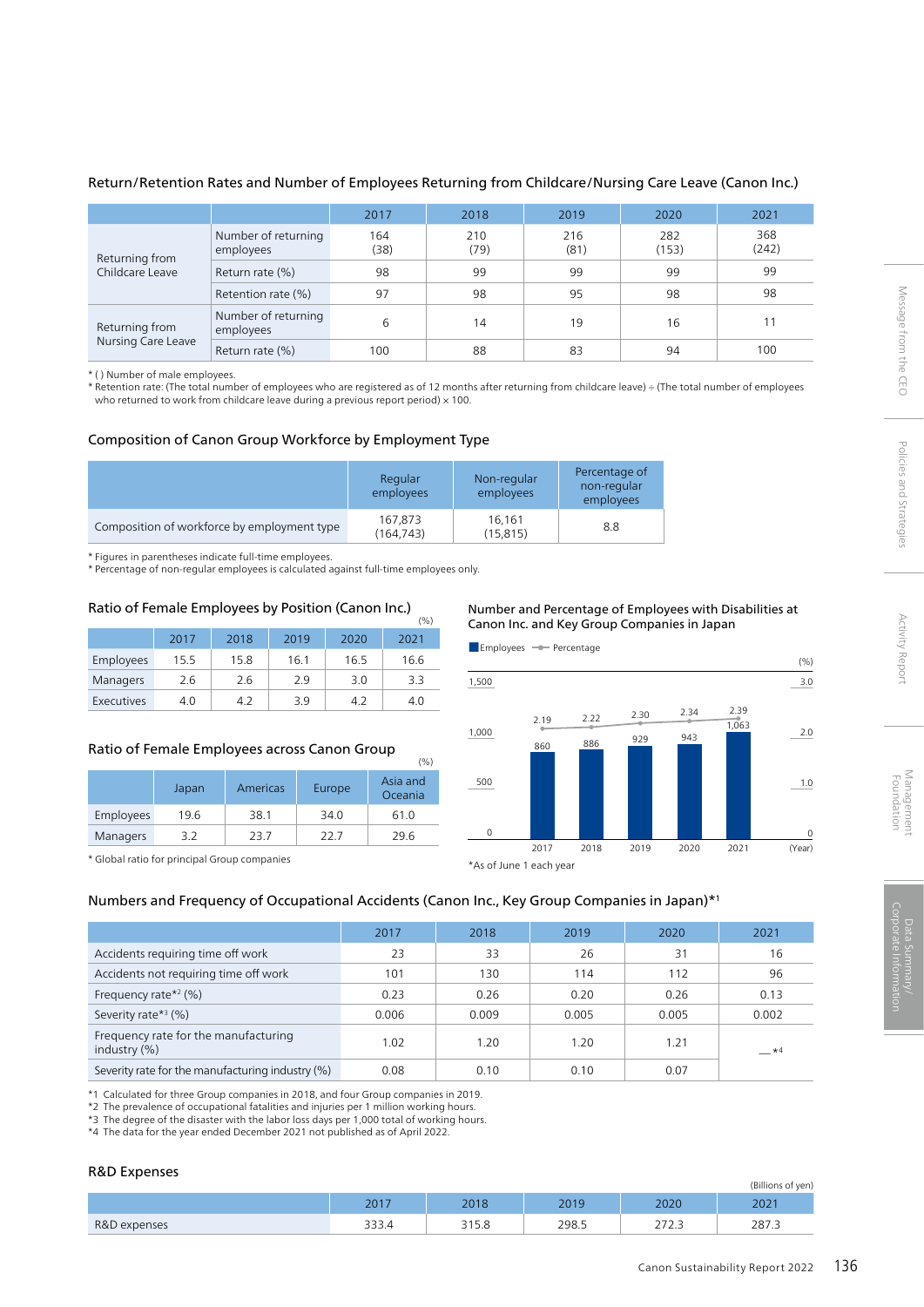#### Return/Retention Rates and Number of Employees Returning from Childcare/Nursing Care Leave (Canon Inc.)

|                                   |                                  | 2017        | 2018        | 2019        | 2020         | 2021         |
|-----------------------------------|----------------------------------|-------------|-------------|-------------|--------------|--------------|
| Returning from<br>Childcare Leave | Number of returning<br>employees | 164<br>(38) | 210<br>(79) | 216<br>(81) | 282<br>(153) | 368<br>(242) |
|                                   | Return rate (%)                  | 98          | 99          | 99          | 99           | 99           |
|                                   | Retention rate (%)               | 97          | 98          | 95          | 98           | 98           |
| Returning from                    | Number of returning<br>employees | 6           | 14          | 19          | 16           |              |
| Nursing Care Leave                | Return rate (%)                  | 100         | 88          | 83          | 94           | 100          |

\* ( ) Number of male employees.

\* Retention rate: (The total number of employees who are registered as of 12 months after returning from childcare leave) ÷ (The total number of employees who returned to work from childcare leave during a previous report period)  $\times$  100.

#### Composition of Canon Group Workforce by Employment Type

|                                             | Regular<br>employees | Non-regular<br>employees | Percentage of<br>non-regular<br>employees |
|---------------------------------------------|----------------------|--------------------------|-------------------------------------------|
| Composition of workforce by employment type | 167,873<br>(164.743) | 16,161<br>(15, 815)      | 8.8                                       |

\* Figures in parentheses indicate full-time employees.

\* Percentage of non-regular employees is calculated against full-time employees only.

#### Ratio of Female Employees by Position (Canon Inc.)  $(% )$

|            | 2017 | 2018 | 2019 | 2020 | 2021 |
|------------|------|------|------|------|------|
| Employees  | 15.5 | 15.8 | 16.1 | 16.5 | 16.6 |
| Managers   | 2.6  | 2.6  | 29   | 3.0  | 3.3  |
| Executives | 4.0  | 42   | 3 g  | 42   | 4.0  |

#### Ratio of Female Employees across Canon Group

| (%)             |       |          |        |                     |  |  |
|-----------------|-------|----------|--------|---------------------|--|--|
|                 | Japan | Americas | Europe | Asia and<br>Oceania |  |  |
| Employees       | 19.6  | 38.1     | 34.0   | 61.0                |  |  |
| <b>Managers</b> | 3.2   | 23.7     | 22 Z   | 29.6                |  |  |

#### \* Global ratio for principal Group companies

#### Number and Percentage of Employees with Disabilities at Canon Inc. and Key Group Companies in Japan



#### Numbers and Frequency of Occupational Accidents (Canon Inc., Key Group Companies in Japan)\*1

|                                                      | 2017  | 2018  | 2019  | 2020  | 2021      |
|------------------------------------------------------|-------|-------|-------|-------|-----------|
| Accidents requiring time off work                    | 23    | 33    | 26    | 31    | 16        |
| Accidents not requiring time off work                | 101   | 130   | 114   | 112   | 96        |
| Frequency rate $*2$ (%)                              | 0.23  | 0.26  | 0.20  | 0.26  | 0.13      |
| Severity rate $*$ <sup>3</sup> (%)                   | 0.006 | 0.009 | 0.005 | 0.005 | 0.002     |
| Frequency rate for the manufacturing<br>industry (%) | 1.02  | 1.20  | 1.20  | 1.21  | $\star$ 4 |
| Severity rate for the manufacturing industry (%)     | 0.08  | 0.10  | 0.10  | 0.07  |           |

\*1 Calculated for three Group companies in 2018, and four Group companies in 2019.

\*2 The prevalence of occupational fatalities and injuries per 1 million working hours.

\*3 The degree of the disaster with the labor loss days per 1,000 total of working hours.

\*4 The data for the year ended December 2021 not published as of April 2022.

#### R&D Expenses

|              |                    |             |                |                                                       | (Billions of yen) |
|--------------|--------------------|-------------|----------------|-------------------------------------------------------|-------------------|
|              | 2017               | 2010        | 2019<br>$20 -$ | 2020                                                  | 202               |
| R&D expenses | $\sim$ $\sim$<br>- | 215C<br>J.O | 298.5          | $\overline{a} = \overline{a}$<br>$\sim$<br><u>_ 1</u> | 287.3             |

Message from the CEO

Policies and Strategies